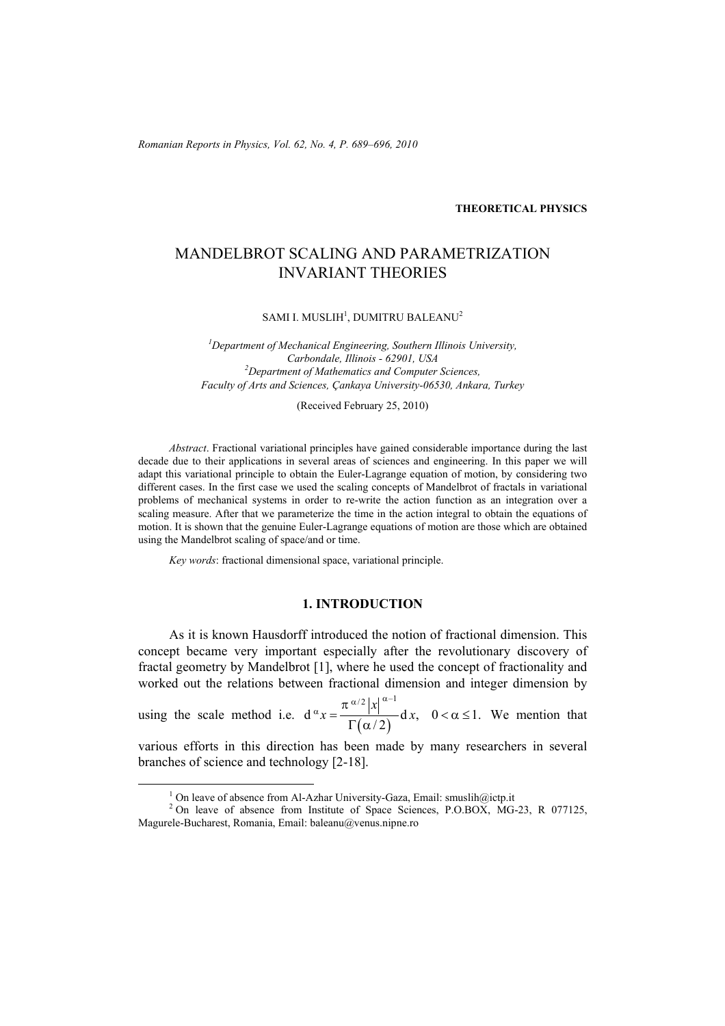*Romanian Reports in Physics, Vol. 62, No. 4, P. 689–696, 2010*

#### **THEORETICAL PHYSICS**

# MANDELBROT SCALING AND PARAMETRIZATION INVARIANT THEORIES

SAMI I. MUSLIH $^{\rm l}$ , DUMITRU BALEANU $^{\rm 2}$ 

*1 Department of Mechanical Engineering, Southern Illinois University, Carbondale, Illinois - 62901, USA 2 Department of Mathematics and Computer Sciences, Faculty of Arts and Sciences, Çankaya University-06530, Ankara, Turkey* 

(Received February 25, 2010)

*Abstract*. Fractional variational principles have gained considerable importance during the last decade due to their applications in several areas of sciences and engineering. In this paper we will adapt this variational principle to obtain the Euler-Lagrange equation of motion, by considering two different cases. In the first case we used the scaling concepts of Mandelbrot of fractals in variational problems of mechanical systems in order to re-write the action function as an integration over a scaling measure. After that we parameterize the time in the action integral to obtain the equations of motion. It is shown that the genuine Euler-Lagrange equations of motion are those which are obtained using the Mandelbrot scaling of space/and or time.

*Key words*: fractional dimensional space, variational principle.

## **1. INTRODUCTION**

As it is known Hausdorff introduced the notion of fractional dimension. This concept became very important especially after the revolutionary discovery of fractal geometry by Mandelbrot [1], where he used the concept of fractionality and worked out the relations between fractional dimension and integer dimension by

using the scale method i.e.  $d^{\alpha}x = \frac{d^{\alpha}x}{\Gamma(\alpha/2)}$  $\left| \alpha \right| \left| \alpha^{-1} \right|$  $d^{\alpha} x = \frac{\alpha}{\Gamma(\alpha/2)} d x, \quad 0 < \alpha \leq 1.$ *x*  $x = \frac{x}{\sum (x_i - x_i)} dx$  $\alpha x = \frac{\pi^{\alpha/2} |x|^{\alpha-1}}{\alpha} dx, \quad 0 < \alpha \le$  $Γ(α$ We mention that

various efforts in this direction has been made by many researchers in several branches of science and technology [2-18].

<sup>1&</sup>lt;sup>1</sup>

<sup>&</sup>lt;sup>1</sup> On leave of absence from Al-Azhar University-Gaza, Email: smuslih@ictp.it  ${}^{2}$  On leave of absence from Institute of Space Sciences, P.O.BOX, MG-23, R 077125, Magurele-Bucharest, Romania, Email: baleanu@venus.nipne.ro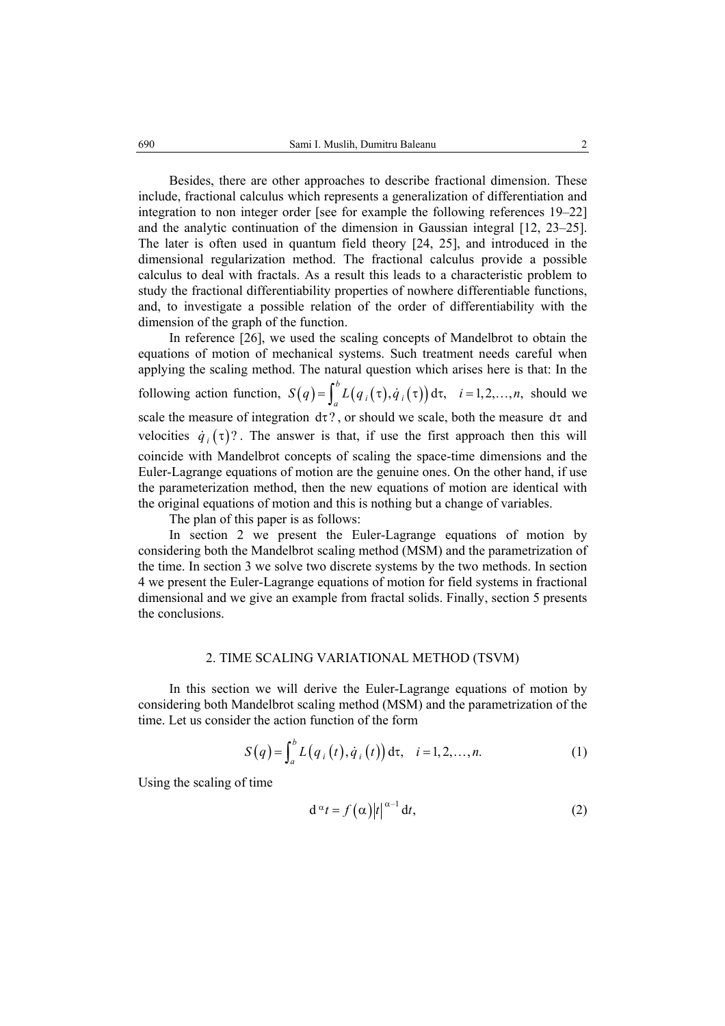Besides, there are other approaches to describe fractional dimension. These include, fractional calculus which represents a generalization of differentiation and integration to non integer order [see for example the following references 19–22] and the analytic continuation of the dimension in Gaussian integral [12, 23–25]. The later is often used in quantum field theory [24, 25], and introduced in the dimensional regularization method. The fractional calculus provide a possible calculus to deal with fractals. As a result this leads to a characteristic problem to study the fractional differentiability properties of nowhere differentiable functions, and, to investigate a possible relation of the order of differentiability with the dimension of the graph of the function.

In reference [26], we used the scaling concepts of Mandelbrot to obtain the equations of motion of mechanical systems. Such treatment needs careful when applying the scaling method. The natural question which arises here is that: In the following action function,  $S(q) = \int_a^b L(q_i(\tau), \dot{q}_i(\tau)) d\tau$ ,  $i = 1,2,...,n$ , should we scale the measure of integration  $d\tau$ ?, or should we scale, both the measure  $d\tau$  and velocities  $\dot{q}_i(\tau)$ ?. The answer is that, if use the first approach then this will coincide with Mandelbrot concepts of scaling the space-time dimensions and the Euler-Lagrange equations of motion are the genuine ones. On the other hand, if use the parameterization method, then the new equations of motion are identical with the original equations of motion and this is nothing but a change of variables.

The plan of this paper is as follows:

In section 2 we present the Euler-Lagrange equations of motion by considering both the Mandelbrot scaling method (MSM) and the parametrization of the time. In section 3 we solve two discrete systems by the two methods. In section 4 we present the Euler-Lagrange equations of motion for field systems in fractional dimensional and we give an example from fractal solids. Finally, section 5 presents the conclusions.

### 2. TIME SCALING VARIATIONAL METHOD (TSVM)

In this section we will derive the Euler-Lagrange equations of motion by considering both Mandelbrot scaling method (MSM) and the parametrization of the time. Let us consider the action function of the form

$$
S(q) = \int_{a}^{b} L(q_i(t), \dot{q}_i(t)) d\tau, \quad i = 1, 2, ..., n.
$$
 (1)

Using the scaling of time

$$
d^{\alpha}t = f(\alpha)|t|^{\alpha-1} dt, \qquad (2)
$$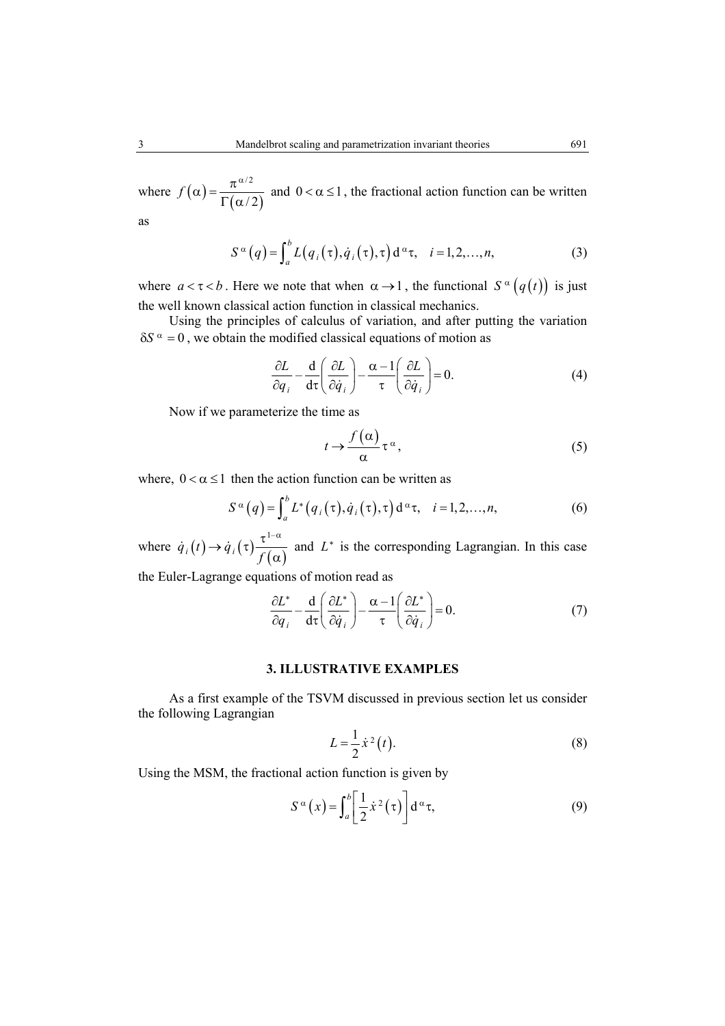where  $f(\alpha) = \frac{\pi^{\alpha/2}}{\Gamma(\alpha/2)}$  $Γ(α$ and  $0 < \alpha \leq 1$ , the fractional action function can be written

as

$$
S^{\alpha}(q) = \int_{a}^{b} L(q_i(\tau), \dot{q}_i(\tau), \tau) d^{\alpha} \tau, \quad i = 1, 2, ..., n,
$$
 (3)

where  $a < \tau < b$ . Here we note that when  $\alpha \rightarrow 1$ , the functional  $S^{\alpha}(q(t))$  is just the well known classical action function in classical mechanics.

Using the principles of calculus of variation, and after putting the variation  $\delta S^{\alpha} = 0$ , we obtain the modified classical equations of motion as

$$
\frac{\partial L}{\partial q_i} - \frac{\mathrm{d}}{\mathrm{d}\tau} \left( \frac{\partial L}{\partial \dot{q}_i} \right) - \frac{\alpha - 1}{\tau} \left( \frac{\partial L}{\partial \dot{q}_i} \right) = 0. \tag{4}
$$

Now if we parameterize the time as

$$
t \to \frac{f(\alpha)}{\alpha} \tau^{\alpha}, \tag{5}
$$

where,  $0 < \alpha \le 1$  then the action function can be written as

$$
S^{\alpha}(q) = \int_{a}^{b} L^{*}(q_{i}(\tau), \dot{q}_{i}(\tau), \tau) d^{\alpha} \tau, \quad i = 1, 2, ..., n,
$$
 (6)

where  $\dot{q}_i(t) \rightarrow \dot{q}_i(\tau) \frac{\tau^{1-\alpha}}{f(\alpha)}$  and  $L^*$  is the corresponding Lagrangian. In this case

the Euler-Lagrange equations of motion read as

$$
\frac{\partial L^*}{\partial q_i} - \frac{\mathrm{d}}{\mathrm{d}\tau} \left( \frac{\partial L^*}{\partial \dot{q}_i} \right) - \frac{\alpha - 1}{\tau} \left( \frac{\partial L^*}{\partial \dot{q}_i} \right) = 0. \tag{7}
$$

#### **3. ILLUSTRATIVE EXAMPLES**

As a first example of the TSVM discussed in previous section let us consider the following Lagrangian

$$
L = \frac{1}{2}\dot{x}^2(t). \tag{8}
$$

Using the MSM, the fractional action function is given by

$$
S^{\alpha}(x) = \int_{a}^{b} \left[ \frac{1}{2} \dot{x}^{2}(\tau) \right] d^{\alpha} \tau,
$$
 (9)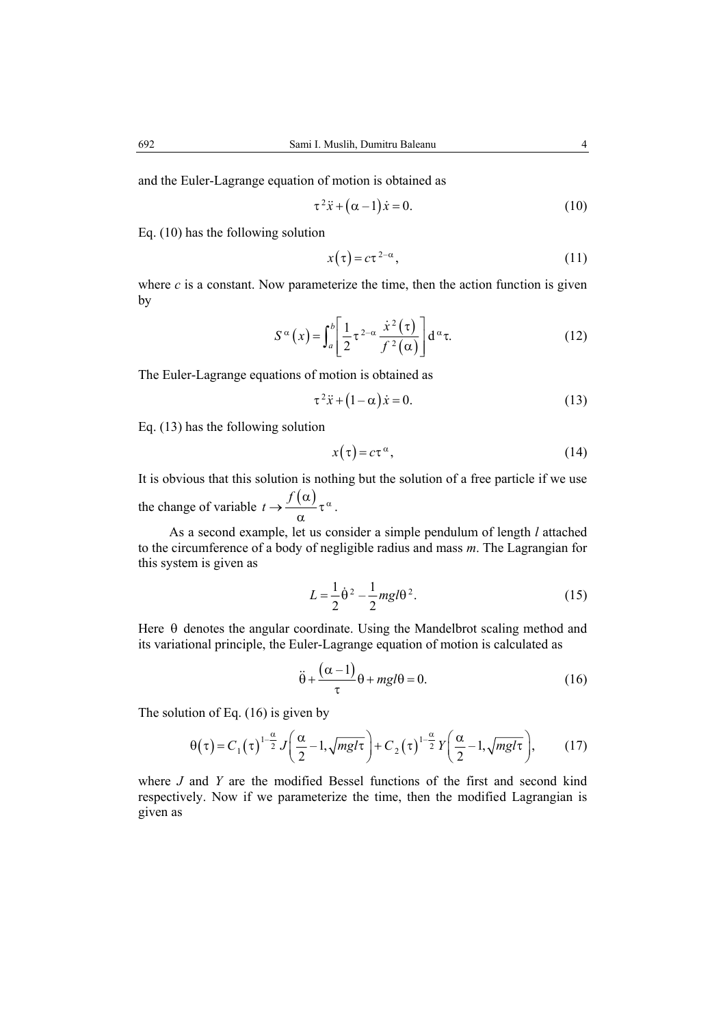$$
\tau^2 \ddot{x} + (\alpha - 1)\dot{x} = 0. \tag{10}
$$

Eq. (10) has the following solution

$$
x(\tau) = c\tau^{2-\alpha},\tag{11}
$$

where  $c$  is a constant. Now parameterize the time, then the action function is given by

$$
S^{\alpha}(x) = \int_{a}^{b} \left[ \frac{1}{2} \tau^{2-\alpha} \frac{\dot{x}^{2}(\tau)}{f^{2}(\alpha)} \right] d^{\alpha} \tau.
$$
 (12)

The Euler-Lagrange equations of motion is obtained as

$$
\tau^2 \ddot{x} + (1 - \alpha) \dot{x} = 0. \tag{13}
$$

Eq. (13) has the following solution

$$
x(\tau) = c\tau^{\alpha},\tag{14}
$$

It is obvious that this solution is nothing but the solution of a free particle if we use the change of variable  $t \to \frac{f(\alpha)}{\alpha} \tau^{\alpha}$ .

As a second example, let us consider a simple pendulum of length *l* attached to the circumference of a body of negligible radius and mass *m*. The Lagrangian for this system is given as

$$
L = \frac{1}{2} \dot{\theta}^2 - \frac{1}{2} mgl\theta^2.
$$
 (15)

Here  $\theta$  denotes the angular coordinate. Using the Mandelbrot scaling method and its variational principle, the Euler-Lagrange equation of motion is calculated as

$$
\ddot{\theta} + \frac{(\alpha - 1)}{\tau} \theta + mgl\theta = 0.
$$
 (16)

The solution of Eq. (16) is given by

$$
\theta(\tau) = C_1(\tau)^{1-\frac{\alpha}{2}} J\left(\frac{\alpha}{2} - 1, \sqrt{mg/\tau}\right) + C_2(\tau)^{1-\frac{\alpha}{2}} Y\left(\frac{\alpha}{2} - 1, \sqrt{mg/\tau}\right),\tag{17}
$$

where *J* and *Y* are the modified Bessel functions of the first and second kind respectively. Now if we parameterize the time, then the modified Lagrangian is given as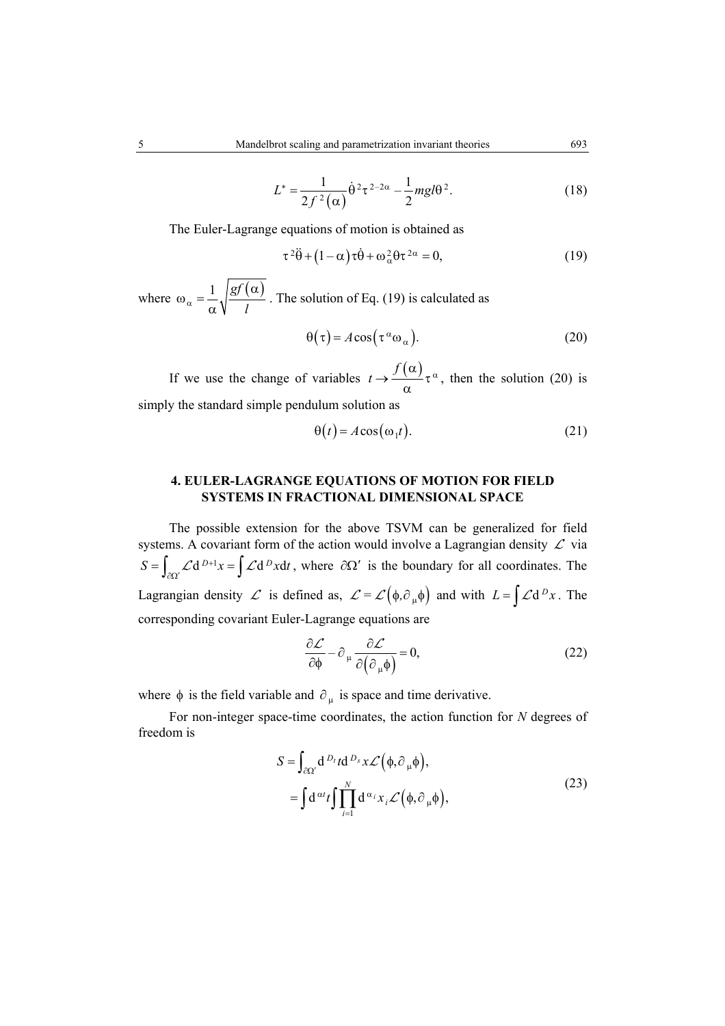$$
L^* = \frac{1}{2f^2(\alpha)} \dot{\theta}^2 \tau^{2-2\alpha} - \frac{1}{2} mgl\theta^2.
$$
 (18)

The Euler-Lagrange equations of motion is obtained as

$$
\tau^2 \ddot{\theta} + (1 - \alpha) \tau \dot{\theta} + \omega_\alpha^2 \theta \tau^{2\alpha} = 0, \qquad (19)
$$

where  $\omega_{\alpha} = \frac{1}{2} \sqrt{\frac{gf(\alpha)}{g(\alpha)}}$  $\alpha$   $\alpha$   $\sqrt{\frac{l}{l}}$ α  $\omega_{\alpha} =$ α . The solution of Eq. (19) is calculated as

$$
\Theta(\tau) = A\cos(\tau^{\alpha}\omega_{\alpha}).
$$
\n(20)

If we use the change of variables  $t \rightarrow \frac{f(\alpha)}{\tau^{\alpha}}$ α , then the solution (20) is simply the standard simple pendulum solution as

$$
\Theta(t) = A\cos(\omega_1 t). \tag{21}
$$

## **4. EULER-LAGRANGE EQUATIONS OF MOTION FOR FIELD SYSTEMS IN FRACTIONAL DIMENSIONAL SPACE**

The possible extension for the above TSVM can be generalized for field systems. A covariant form of the action would involve a Lagrangian density  $\mathcal L$  via  $S = \int_{\partial \Omega'} \mathcal{L} d^{D+1} x = \int \mathcal{L} d^D x dt$ , where  $\partial \Omega'$  is the boundary for all coordinates. The Lagrangian density  $\mathcal L$  is defined as,  $\mathcal L = \mathcal L(\phi, \partial_\mu \phi)$  and with  $L = \int \mathcal L d^D x$ . The corresponding covariant Euler-Lagrange equations are

$$
\frac{\partial \mathcal{L}}{\partial \phi} - \partial_{\mu} \frac{\partial \mathcal{L}}{\partial (\partial_{\mu} \phi)} = 0, \tag{22}
$$

where  $\phi$  is the field variable and  $\partial_{\mu}$  is space and time derivative.

For non-integer space-time coordinates, the action function for *N* degrees of freedom is

$$
S = \int_{\partial \Omega'} d^{D_t} t d^{D_s} x \mathcal{L} (\phi, \partial_\mu \phi),
$$
  
= 
$$
\int d^{\alpha t} t \int \prod_{i=1}^N d^{\alpha_i} x_i \mathcal{L} (\phi, \partial_\mu \phi),
$$
 (23)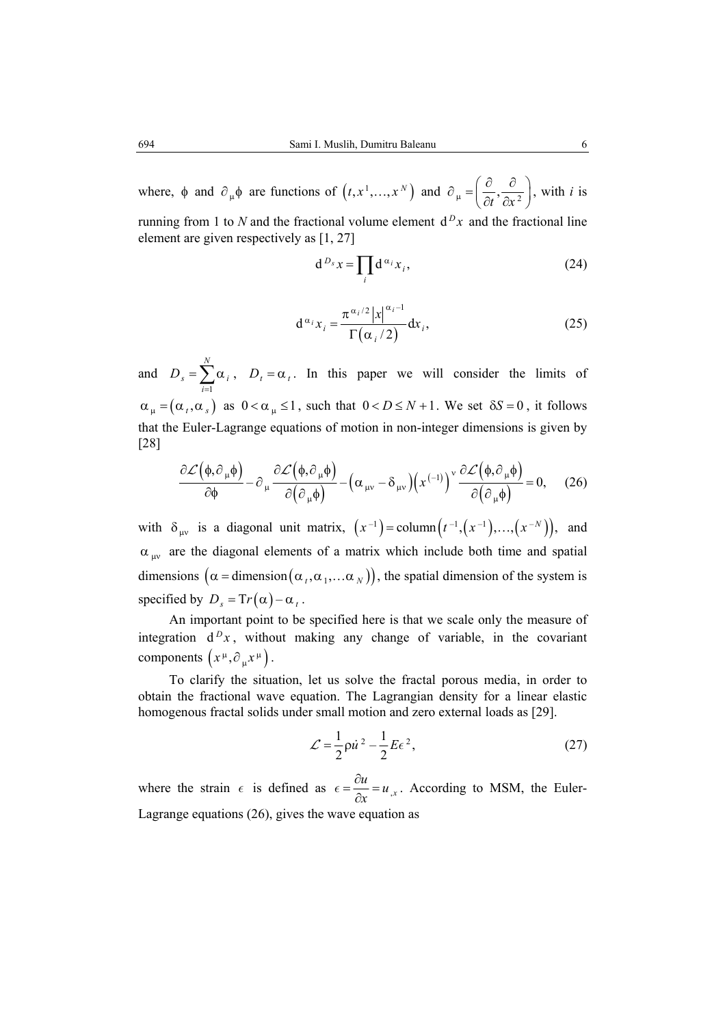where,  $\phi$  and  $\partial_{\mu} \phi$  are functions of  $(t, x^1, ..., x^N)$  and  $\partial_{\mu} = \left(\frac{\partial}{\partial t}, \frac{\partial}{\partial x^2}\right)$ , with *i* is

running from 1 to *N* and the fractional volume element  $d^D x$  and the fractional line element are given respectively as [1, 27]

$$
d^{D_s}x = \prod_i d^{\alpha_i}x_i, \qquad (24)
$$

$$
d^{\alpha_i}x_i = \frac{\pi^{\alpha_i/2} |x|^{\alpha_i - 1}}{\Gamma(\alpha_i/2)} dx_i,
$$
 (25)

and 1 *N*  $s = \sum \alpha_i$ *i D*  $=\sum_{i=1}^{\infty} \alpha_i$ ,  $D_t = \alpha_t$ . In this paper we will consider the limits of  $\alpha_{\mu} = (\alpha_{I}, \alpha_{I})$  as  $0 < \alpha_{\mu} \leq 1$ , such that  $0 < D \leq N + 1$ . We set  $\delta S = 0$ , it follows that the Euler-Lagrange equations of motion in non-integer dimensions is given by [28]

$$
\frac{\partial \mathcal{L}(\phi, \partial_{\mu}\phi)}{\partial \phi} - \partial_{\mu} \frac{\partial \mathcal{L}(\phi, \partial_{\mu}\phi)}{\partial (\partial_{\mu}\phi)} - (\alpha_{\mu\nu} - \delta_{\mu\nu})(x^{(-1)})^{\nu} \frac{\partial \mathcal{L}(\phi, \partial_{\mu}\phi)}{\partial (\partial_{\mu}\phi)} = 0, \quad (26)
$$

with  $\delta_{uv}$  is a diagonal unit matrix,  $(x^{-1}) = \text{column} (t^{-1}, (x^{-1}), ..., (x^{-N}))$ , and  $\alpha_{uv}$  are the diagonal elements of a matrix which include both time and spatial dimensions  $(\alpha =$  dimension  $(\alpha_1, \alpha_1, \dots \alpha_N)$ , the spatial dimension of the system is specified by  $D_s = Tr(\alpha) - \alpha_t$ .

An important point to be specified here is that we scale only the measure of integration  $d^D x$ , without making any change of variable, in the covariant components  $(x^{\mu}, \partial_{\mu}x^{\mu})$ .

To clarify the situation, let us solve the fractal porous media, in order to obtain the fractional wave equation. The Lagrangian density for a linear elastic homogenous fractal solids under small motion and zero external loads as [29].

$$
\mathcal{L} = \frac{1}{2} \rho \dot{u}^2 - \frac{1}{2} E \epsilon^2, \qquad (27)
$$

where the strain  $\epsilon$  is defined as  $\epsilon = \frac{\partial u}{\partial x} = u_{xx}$  $\epsilon = \frac{\partial u}{\partial x} = u_{,x}$ . According to MSM, the Euler-Lagrange equations (26), gives the wave equation as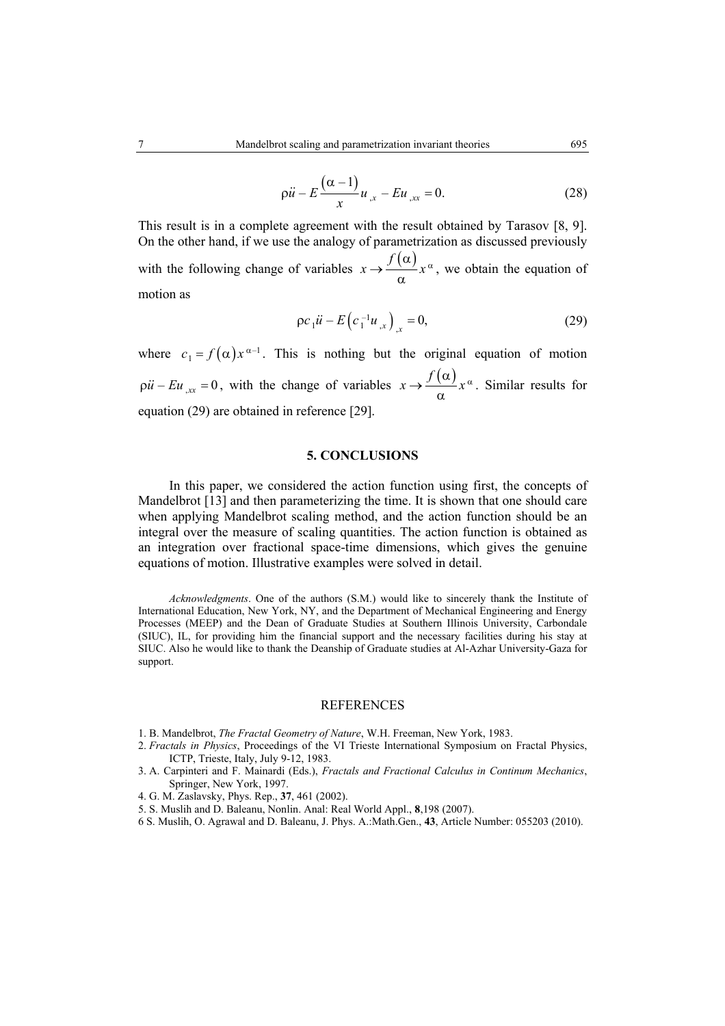$$
\rho \ddot{u} - E \frac{(\alpha - 1)}{x} u_{,x} - E u_{,xx} = 0. \tag{28}
$$

This result is in a complete agreement with the result obtained by Tarasov [8, 9]. On the other hand, if we use the analogy of parametrization as discussed previously with the following change of variables  $x \rightarrow f(\alpha) x^{\alpha}$ α , we obtain the equation of motion as

$$
\rho c_1 \ddot{u} - E(c_1^{-1} u_{,x})_{,x} = 0, \tag{29}
$$

where  $c_1 = f(\alpha) x^{\alpha-1}$ . This is nothing but the original equation of motion  $\varphi u - Eu_{,xx} = 0$ , with the change of variables  $x \to \frac{f(\alpha)}{g} x^{\alpha}$ α . Similar results for equation (29) are obtained in reference [29].

#### **5. CONCLUSIONS**

In this paper, we considered the action function using first, the concepts of Mandelbrot [13] and then parameterizing the time. It is shown that one should care when applying Mandelbrot scaling method, and the action function should be an integral over the measure of scaling quantities. The action function is obtained as an integration over fractional space-time dimensions, which gives the genuine equations of motion. Illustrative examples were solved in detail.

*Acknowledgments*. One of the authors (S.M.) would like to sincerely thank the Institute of International Education, New York, NY, and the Department of Mechanical Engineering and Energy Processes (MEEP) and the Dean of Graduate Studies at Southern Illinois University, Carbondale (SIUC), IL, for providing him the financial support and the necessary facilities during his stay at SIUC. Also he would like to thank the Deanship of Graduate studies at Al-Azhar University-Gaza for support.

#### **REFERENCES**

- 1. B. Mandelbrot, *The Fractal Geometry of Nature*, W.H. Freeman, New York, 1983.
- 2. *Fractals in Physics*, Proceedings of the VI Trieste International Symposium on Fractal Physics, ICTP, Trieste, Italy, July 9-12, 1983.
- 3. A. Carpinteri and F. Mainardi (Eds.), *Fractals and Fractional Calculus in Continum Mechanics*, Springer, New York, 1997.
- 4. G. M. Zaslavsky, Phys. Rep., **37**, 461 (2002).
- 5. S. Muslih and D. Baleanu, Nonlin. Anal: Real World Appl., **8**,198 (2007).
- 6 S. Muslih, O. Agrawal and D. Baleanu, J. Phys. A.:Math.Gen., **43**, Article Number: 055203 (2010).